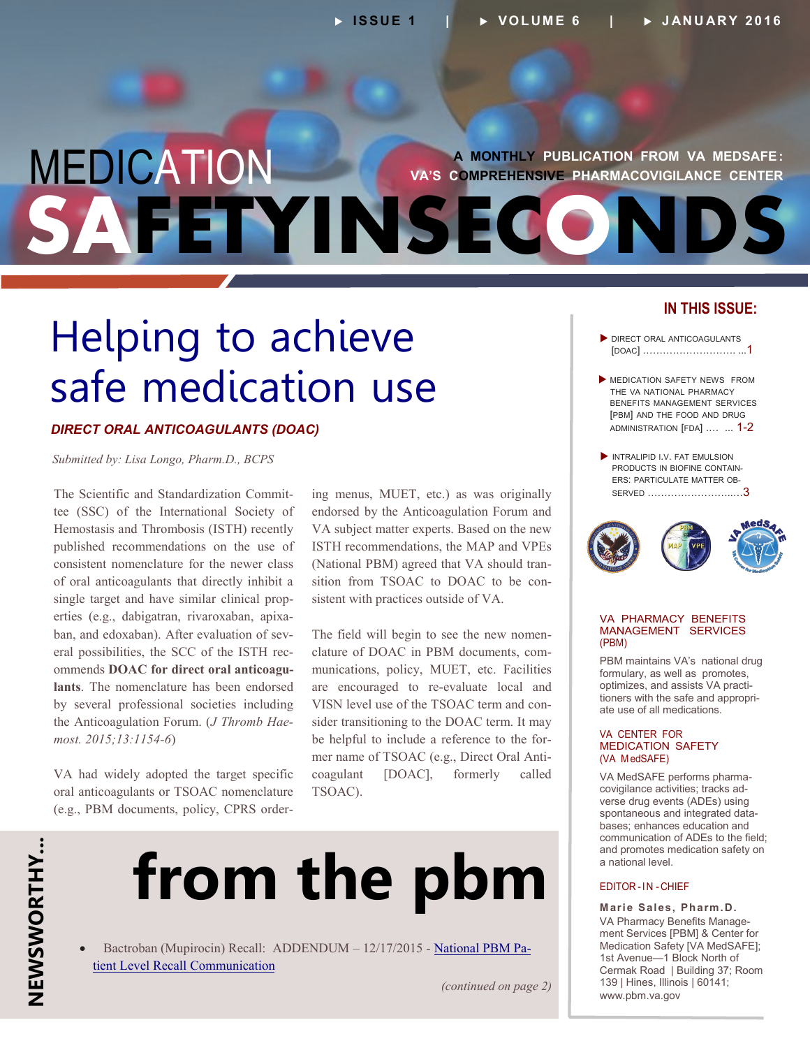### <span id="page-0-0"></span>MEDICATION FETYINSEC **A MONTHLY PUBLICATION FROM VA MEDSAFE : VA'S COMPREHENSIVE PHARMACOVIGILANCE CENTER**

## Helping to achieve safe medication use

### *DIRECT ORAL ANTICOAGULANTS (DOAC)*

*Submitted by: Lisa Longo, Pharm.D., BCPS* 

The Scientific and Standardization Commitsingle target and have similar clinical prop-- erties (e.g., dabigatran, rivaroxaban, apixa - ban, and edoxaban). After evaluation of sev - eral possibilities, the SCC of the ISTH rec **-** ommends **DOAC for direct oral anticoagu** *-* the Anticoagulation Forum. (*J Thromb Hae* tee (SSC) of the International Society of Hemostasis and Thrombosis (ISTH) recently published recommendations on the use of consistent nomenclature for the newer class of oral anticoagulants that directly inhibit a **lants**. The nomenclature has been endorsed by several professional societies including *most. 2015;13:1154-6*)

- (e.g., PBM documents, policy, CPRS order VA had widely adopted the target specific oral anticoagulants or TSOAC nomenclature

(National PBM) agreed that VA should transition from TSOAC to DOAC to be coning menus, MUET, etc.) as was originally endorsed by the Anticoagulation Forum and VA subject matter experts. Based on the new ISTH recommendations, the MAP and VPEs sistent with practices outside of VA.

The field will begin to see the new nomen-- clature of DOAC in PBM documents, com VISN level use of the TSOAC term and conbe helpful to include a reference to the former name of TSOAC (e.g., Direct Oral Antimunications, policy, MUET, etc. Facilities are encouraged to re-evaluate local and sider transitioning to the DOAC term. It may coagulant [DOAC], formerly called TSOAC).

# **from the pbm**

• Bactroban (Mupirocin) Recall: ADDENDUM - 12/17/2015 - [National PBM Pa](http://www.pbm.va.gov/PBM/vacenterformedicationsafety/nationalpbmcommunication/Bactroban_Mupirocin_Recall_National_PBM_Patient_Level_Recall_Communication_ADDENDUM_FINAL_121715.pdf)[tient Level Recall Communication](http://www.pbm.va.gov/PBM/vacenterformedicationsafety/nationalpbmcommunication/Bactroban_Mupirocin_Recall_National_PBM_Patient_Level_Recall_Communication_ADDENDUM_FINAL_121715.pdf) 

*(continued on page 2)* 

### **IN THIS ISSUE:**

- DIRECT ORAL ANTICOAGULANTS [\[DOAC\] ………………………. ...1](#page-0-0)
- MEDICATION SAFETY NEWS FROM THE VA NATIONAL PHARMACY BENEFITS MANAGEMENT SERVICES [PBM] AND THE FOOD AND DRUG ADMINISTRATION [FDA] .... ... 1-2
- INTRALIPID I.V. FAT EMULSION PRODUCTS IN BIOFINE CONTAIN - ERS: PARTICULATE MATTER OB-[SERVED ……………………..…3](#page-2-0)



#### VA PHARMACY BENEFITS MANAGEMENT SERVICES (PBM)

optimizes, and assists VA practitioners with the safe and appropri-PBM maintains VA's national drug formulary, as well as promotes, ate use of all medications.

#### VA CENTER FOR MEDICATION SAFETY (VA MedSAFE)

- VA MedSAFE performs pharma - covigilance activities; tracks ad - spontaneous and integrated data verse drug events (ADEs) using bases; enhances education and communication of ADEs to the field; and promotes medication safety on a national level.

### EDITOR-IN -CHIEF

- VA Pharmacy Benefits Manage **Marie Sales, Pharm.D.**  ment Services [PBM] & Center for Medication Safety [VA MedSAFE]; 1st Avenue—1 Block North of Cermak Road | Building 37; Room 139 | Hines, Illinois | 60141; www.pbm.va.gov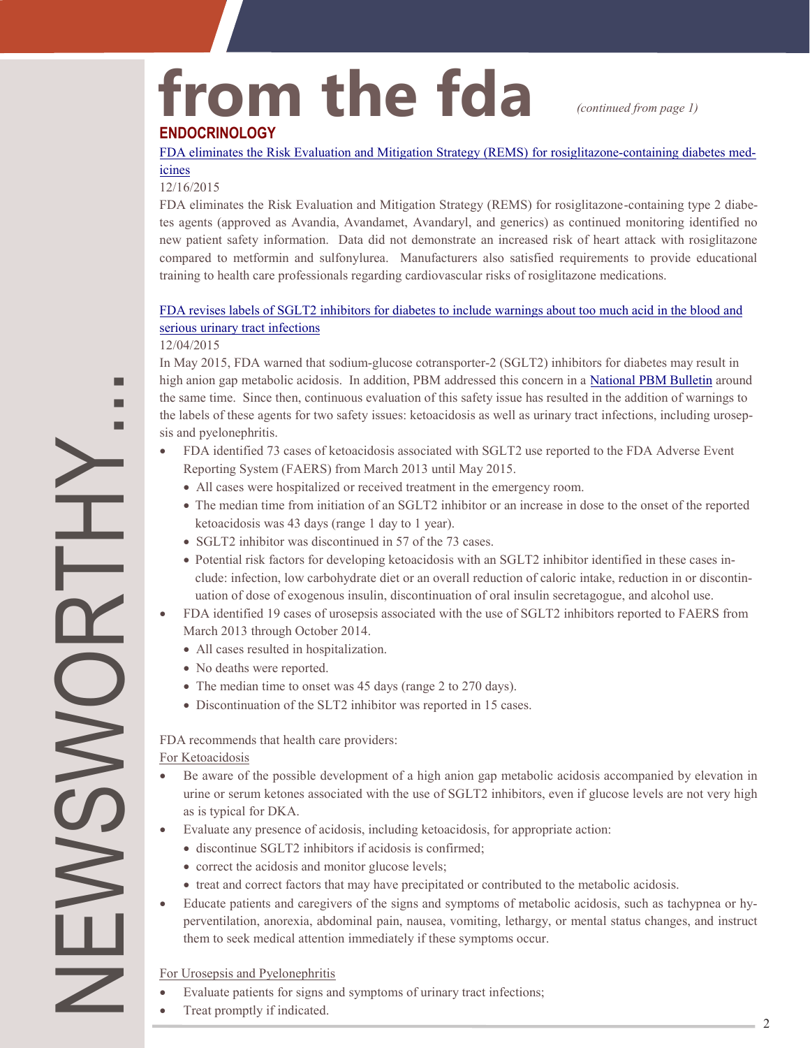# from the fda *(continued from page 1)*

### **ENDOCRINOLOGY**

[FDA eliminates the Risk Evaluation and Mitigation Strategy \(REMS\) for rosiglitazone](http://www.fda.gov/Drugs/DrugSafety/ucm476466.htm)-containing diabetes med [icines](http://www.fda.gov/Drugs/DrugSafety/ucm476466.htm) 

### 12/16/2015

- FDA eliminates the Risk Evaluation and Mitigation Strategy (REMS) for rosiglitazone-containing type 2 diabe tes agents (approved as Avandia, Avandamet, Avandaryl, and generics) as continued monitoring identified no new patient safety information. Data did not demonstrate an increased risk of heart attack with rosiglitazone compared to metformin and sulfonylurea. Manufacturers also satisfied requirements to provide educational training to health care professionals regarding cardiovascular risks of rosiglitazone medications.

### [FDA revises labels of SGLT2 inhibitors for diabetes to include warnings about too much acid in the blood and](http://www.fda.gov/Drugs/DrugSafety/ucm475463.htm)  [serious urinary tract infections](http://www.fda.gov/Drugs/DrugSafety/ucm475463.htm)

### 12/04/2015

ш

the labels of these agents for two safety issues: ketoacidosis as well as urinary tract infections, including urosep-In May 2015, FDA warned that sodium-glucose cotransporter-2 (SGLT2) inhibitors for diabetes may result in high anion gap metabolic acidosis. In addition, PBM addressed this concern in a [National PBM Bulletin](http://www.pbm.va.gov/PBM/vacenterformedicationsafety/nationalpbmbulletin/SGLT2_Inhibitors_and_Potential_Risk_for_Acidosis_NATIONAL_PBM_BULLETIN.pdf) around the same time. Since then, continuous evaluation of this safety issue has resulted in the addition of warnings to sis and pyelonephritis.

- $\bullet$ FDA identified 73 cases of ketoacidosis associated with SGLT2 use reported to the FDA Adverse Event Reporting System (FAERS) from March 2013 until May 2015.
	- All cases were hospitalized or received treatment in the emergency room.
	- The median time from initiation of an SGLT2 inhibitor or an increase in dose to the onset of the reported ketoacidosis was 43 days (range 1 day to 1 year).
	- SGLT2 inhibitor was discontinued in 57 of the 73 cases.
	- Potential risk factors for developing ketoacidosis with an SGLT2 inhibitor identified in these cases in - clude: infection, low carbohydrate diet or an overall reduction of caloric intake, reduction in or discontin uation of dose of exogenous insulin, discontinuation of oral insulin secretagogue, and alcohol use.
- FDA identified 19 cases of urosepsis associated with the use of SGLT2 inhibitors reported to FAERS from March 2013 through October 2014.
	- All cases resulted in hospitalization.
	- No deaths were reported.
	- The median time to onset was 45 days (range 2 to 270 days).
	- Discontinuation of the SLT2 inhibitor was reported in 15 cases.

FDA recommends that health care providers:

For Ketoacidosis

NEWSWORTHY...

**ONS** 

 $\geq$ 

- $\bullet$ Be aware of the possible development of a high anion gap metabolic acidosis accompanied by elevation in urine or serum ketones associated with the use of SGLT2 inhibitors, even if glucose levels are not very high as is typical for DKA.
- Evaluate any presence of acidosis, including ketoacidosis, for appropriate action:
	- discontinue SGLT2 inhibitors if acidosis is confirmed;
	- correct the acidosis and monitor glucose levels;
	- treat and correct factors that may have precipitated or contributed to the metabolic acidosis.
- Educate patients and caregivers of the signs and symptoms of metabolic acidosis, such as tachypnea or hy- $\bullet$ perventilation, anorexia, abdominal pain, nausea, vomiting, lethargy, or mental status changes, and instruct them to seek medical attention immediately if these symptoms occur.

For Urosepsis and Pyelonephritis

- Evaluate patients for signs and symptoms of urinary tract infections;
- Treat promptly if indicated.